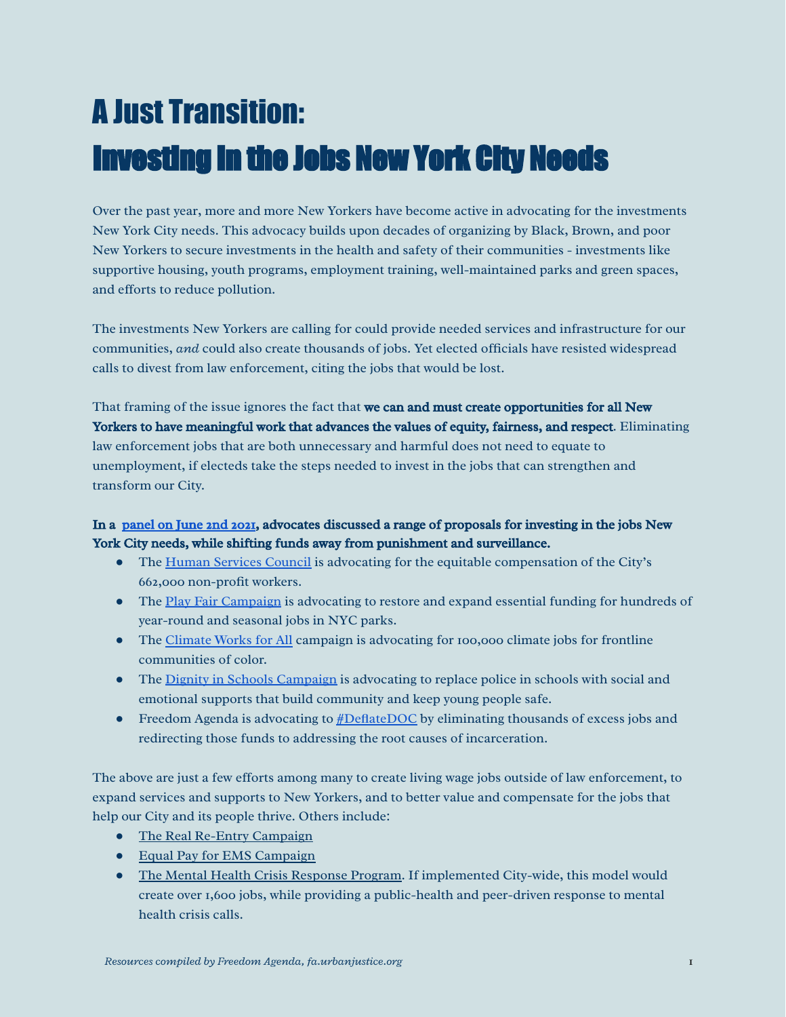## A Just Transition: Investing in the Jobs New York City Needs

Over the past year, more and more New Yorkers have become active in advocating for the investments New York City needs. This advocacy builds upon decades of organizing by Black, Brown, and poor New Yorkers to secure investments in the health and safety of their communities - investments like supportive housing, youth programs, employment training, well-maintained parks and green spaces, and efforts to reduce pollution.

The investments New Yorkers are calling for could provide needed services and infrastructure for our communities, *and* could also create thousands of jobs. Yet elected officials have resisted widespread calls to divest from law enforcement, citing the jobs that would be lost.

That framing of the issue ignores the fact that we can and must create opportunities for all New Yorkers to have meaningful work that advances the values of equity, fairness, and respect. Eliminating law enforcement jobs that are both unnecessary and harmful does not need to equate to unemployment, if electeds take the steps needed to invest in the jobs that can strengthen and transform our City.

## In a [panel on June 2nd 2021](https://www.facebook.com/freedomagendany/videos/430638274841757), advocates discussed a range of proposals for investing in the jobs New York City needs, while shifting funds away from punishment and surveillance.

- The [Human Services Council](https://humanservicescouncil.org/) is advocating for the equitable compensation of the City's 662,000 non-profit workers.
- The [Play Fair Campaign](http://www.ny4p.org/what-we-do/play-fair) is advocating to restore and expand essential funding for hundreds of year-round and seasonal jobs in NYC parks.
- The [Climate Works for All](https://alignny.org/campaign/climate-works-for-all/) campaign is advocating for 100,000 climate jobs for frontline communities of color.
- The [Dignity in Schools Campaign](http://dignityinschools.org/dsc-ny) is advocating to replace police in schools with social and emotional supports that build community and keep young people safe.
- Freedom Agenda is advocating to [#DeflateDOC](https://fa.urbanjustice.org/wp-content/uploads/sites/22/2021/05/Deflate-DOC.pdf) by eliminating thousands of excess jobs and redirecting those funds to addressing the root causes of incarceration.

The above are just a few efforts among many to create living wage jobs outside of law enforcement, to expand services and supports to New Yorkers, and to better value and compensate for the jobs that help our City and its people thrive. Others include:

- [The Real Re-Entry Campaign](https://www.realreentry.org/)
- [Equal Pay for EMS Campaign](https://www.equalpayforems.com/)
- [The Mental Health Crisis Response Program.](http://www.ccitnyc.org/wp-content/uploads/2021/02/CCITNYC-Pilot-11-2-20.pdf) If implemented City-wide, this model would create over 1,600 jobs, while providing a public-health and peer-driven response to mental health crisis calls.